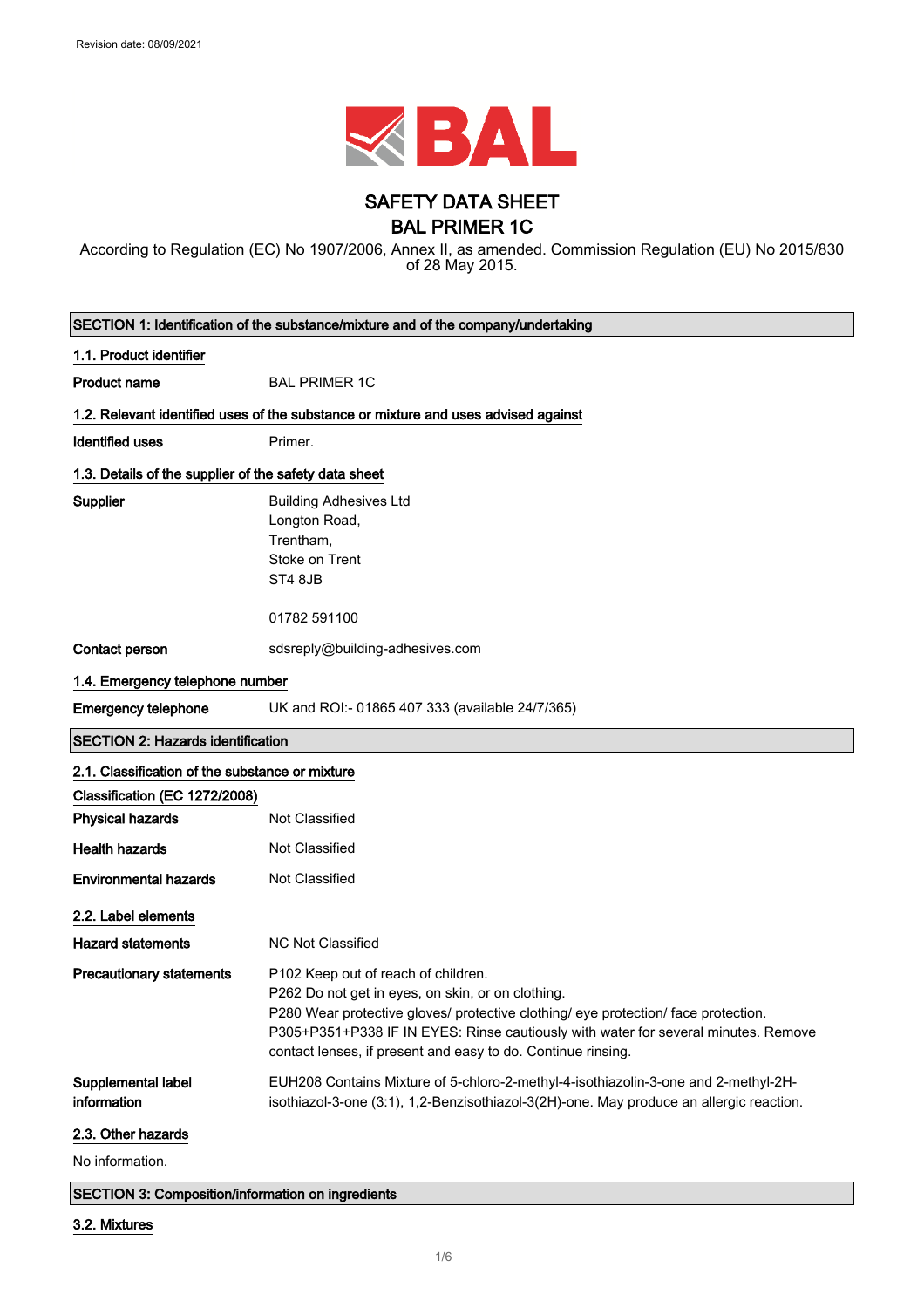

## SAFETY DATA SHEET BAL PRIMER 1C

According to Regulation (EC) No 1907/2006, Annex II, as amended. Commission Regulation (EU) No 2015/830 of 28 May 2015.

| SECTION 1: Identification of the substance/mixture and of the company/undertaking |                                                                                                                                                                                                                                                                                                                                      |
|-----------------------------------------------------------------------------------|--------------------------------------------------------------------------------------------------------------------------------------------------------------------------------------------------------------------------------------------------------------------------------------------------------------------------------------|
| 1.1. Product identifier                                                           |                                                                                                                                                                                                                                                                                                                                      |
| <b>Product name</b>                                                               | <b>BAL PRIMER 1C</b>                                                                                                                                                                                                                                                                                                                 |
|                                                                                   | 1.2. Relevant identified uses of the substance or mixture and uses advised against                                                                                                                                                                                                                                                   |
| <b>Identified uses</b>                                                            | Primer.                                                                                                                                                                                                                                                                                                                              |
| 1.3. Details of the supplier of the safety data sheet                             |                                                                                                                                                                                                                                                                                                                                      |
| Supplier                                                                          | <b>Building Adhesives Ltd</b><br>Longton Road,<br>Trentham,<br>Stoke on Trent<br>ST4 8JB                                                                                                                                                                                                                                             |
|                                                                                   | 01782 591100                                                                                                                                                                                                                                                                                                                         |
| Contact person                                                                    | sdsreply@building-adhesives.com                                                                                                                                                                                                                                                                                                      |
| 1.4. Emergency telephone number                                                   |                                                                                                                                                                                                                                                                                                                                      |
| <b>Emergency telephone</b>                                                        | UK and ROI:- 01865 407 333 (available 24/7/365)                                                                                                                                                                                                                                                                                      |
| <b>SECTION 2: Hazards identification</b>                                          |                                                                                                                                                                                                                                                                                                                                      |
| 2.1. Classification of the substance or mixture                                   |                                                                                                                                                                                                                                                                                                                                      |
| Classification (EC 1272/2008)                                                     |                                                                                                                                                                                                                                                                                                                                      |
| <b>Physical hazards</b>                                                           | <b>Not Classified</b>                                                                                                                                                                                                                                                                                                                |
| <b>Health hazards</b>                                                             | Not Classified                                                                                                                                                                                                                                                                                                                       |
| <b>Environmental hazards</b>                                                      | <b>Not Classified</b>                                                                                                                                                                                                                                                                                                                |
| 2.2. Label elements                                                               |                                                                                                                                                                                                                                                                                                                                      |
| <b>Hazard statements</b>                                                          | <b>NC Not Classified</b>                                                                                                                                                                                                                                                                                                             |
| <b>Precautionary statements</b>                                                   | P102 Keep out of reach of children.<br>P262 Do not get in eyes, on skin, or on clothing.<br>P280 Wear protective gloves/ protective clothing/ eye protection/ face protection.<br>P305+P351+P338 IF IN EYES: Rinse cautiously with water for several minutes. Remove<br>contact lenses, if present and easy to do. Continue rinsing. |
| Supplemental label<br>information                                                 | EUH208 Contains Mixture of 5-chloro-2-methyl-4-isothiazolin-3-one and 2-methyl-2H-<br>isothiazol-3-one (3:1), 1,2-Benzisothiazol-3(2H)-one. May produce an allergic reaction.                                                                                                                                                        |
| 2.3. Other hazards                                                                |                                                                                                                                                                                                                                                                                                                                      |
| No information.                                                                   |                                                                                                                                                                                                                                                                                                                                      |

SECTION 3: Composition/information on ingredients

### 3.2. Mixtures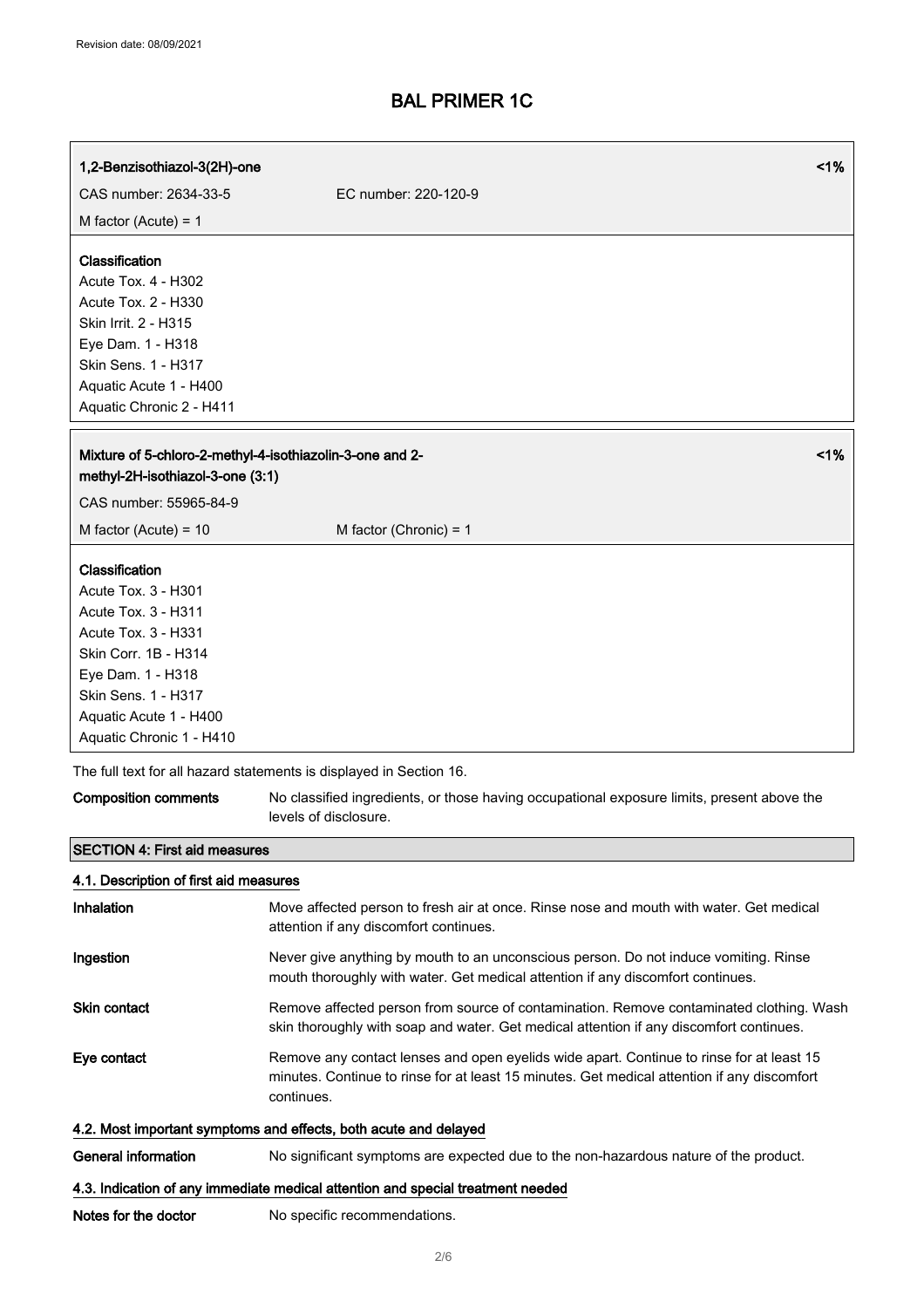| 1,2-Benzisothiazol-3(2H)-one                                                                       | 1%                                                                                                                                                                                                    |
|----------------------------------------------------------------------------------------------------|-------------------------------------------------------------------------------------------------------------------------------------------------------------------------------------------------------|
| CAS number: 2634-33-5                                                                              | EC number: 220-120-9                                                                                                                                                                                  |
| M factor (Acute) = $1$                                                                             |                                                                                                                                                                                                       |
| Classification<br>Acute Tox. 4 - H302                                                              |                                                                                                                                                                                                       |
| Acute Tox. 2 - H330                                                                                |                                                                                                                                                                                                       |
| Skin Irrit. 2 - H315                                                                               |                                                                                                                                                                                                       |
| Eye Dam. 1 - H318                                                                                  |                                                                                                                                                                                                       |
| Skin Sens. 1 - H317<br>Aquatic Acute 1 - H400                                                      |                                                                                                                                                                                                       |
| Aquatic Chronic 2 - H411                                                                           |                                                                                                                                                                                                       |
|                                                                                                    |                                                                                                                                                                                                       |
| 1%<br>Mixture of 5-chloro-2-methyl-4-isothiazolin-3-one and 2-<br>methyl-2H-isothiazol-3-one (3:1) |                                                                                                                                                                                                       |
| CAS number: 55965-84-9                                                                             |                                                                                                                                                                                                       |
| M factor (Acute) = $10$                                                                            | M factor (Chronic) = $1$                                                                                                                                                                              |
| Classification                                                                                     |                                                                                                                                                                                                       |
| Acute Tox. 3 - H301                                                                                |                                                                                                                                                                                                       |
| Acute Tox. 3 - H311                                                                                |                                                                                                                                                                                                       |
| Acute Tox. 3 - H331<br>Skin Corr. 1B - H314                                                        |                                                                                                                                                                                                       |
| Eye Dam. 1 - H318                                                                                  |                                                                                                                                                                                                       |
| Skin Sens. 1 - H317                                                                                |                                                                                                                                                                                                       |
| Aquatic Acute 1 - H400                                                                             |                                                                                                                                                                                                       |
| Aquatic Chronic 1 - H410                                                                           |                                                                                                                                                                                                       |
|                                                                                                    | The full text for all hazard statements is displayed in Section 16.                                                                                                                                   |
| <b>Composition comments</b>                                                                        | No classified ingredients, or those having occupational exposure limits, present above the<br>levels of disclosure.                                                                                   |
| <b>SECTION 4: First aid measures</b>                                                               |                                                                                                                                                                                                       |
| 4.1. Description of first aid measures                                                             |                                                                                                                                                                                                       |
| Inhalation                                                                                         | Move affected person to fresh air at once. Rinse nose and mouth with water. Get medical<br>attention if any discomfort continues.                                                                     |
| Ingestion                                                                                          | Never give anything by mouth to an unconscious person. Do not induce vomiting. Rinse<br>mouth thoroughly with water. Get medical attention if any discomfort continues.                               |
| <b>Skin contact</b>                                                                                | Remove affected person from source of contamination. Remove contaminated clothing. Wash<br>skin thoroughly with soap and water. Get medical attention if any discomfort continues.                    |
| Eye contact                                                                                        | Remove any contact lenses and open eyelids wide apart. Continue to rinse for at least 15<br>minutes. Continue to rinse for at least 15 minutes. Get medical attention if any discomfort<br>continues. |
|                                                                                                    | 4.2. Most important symptoms and effects, both acute and delayed                                                                                                                                      |
| <b>General information</b>                                                                         | No significant symptoms are expected due to the non-hazardous nature of the product.                                                                                                                  |
| 4.3. Indication of any immediate medical attention and special treatment needed                    |                                                                                                                                                                                                       |
| Notes for the doctor                                                                               | No specific recommendations.                                                                                                                                                                          |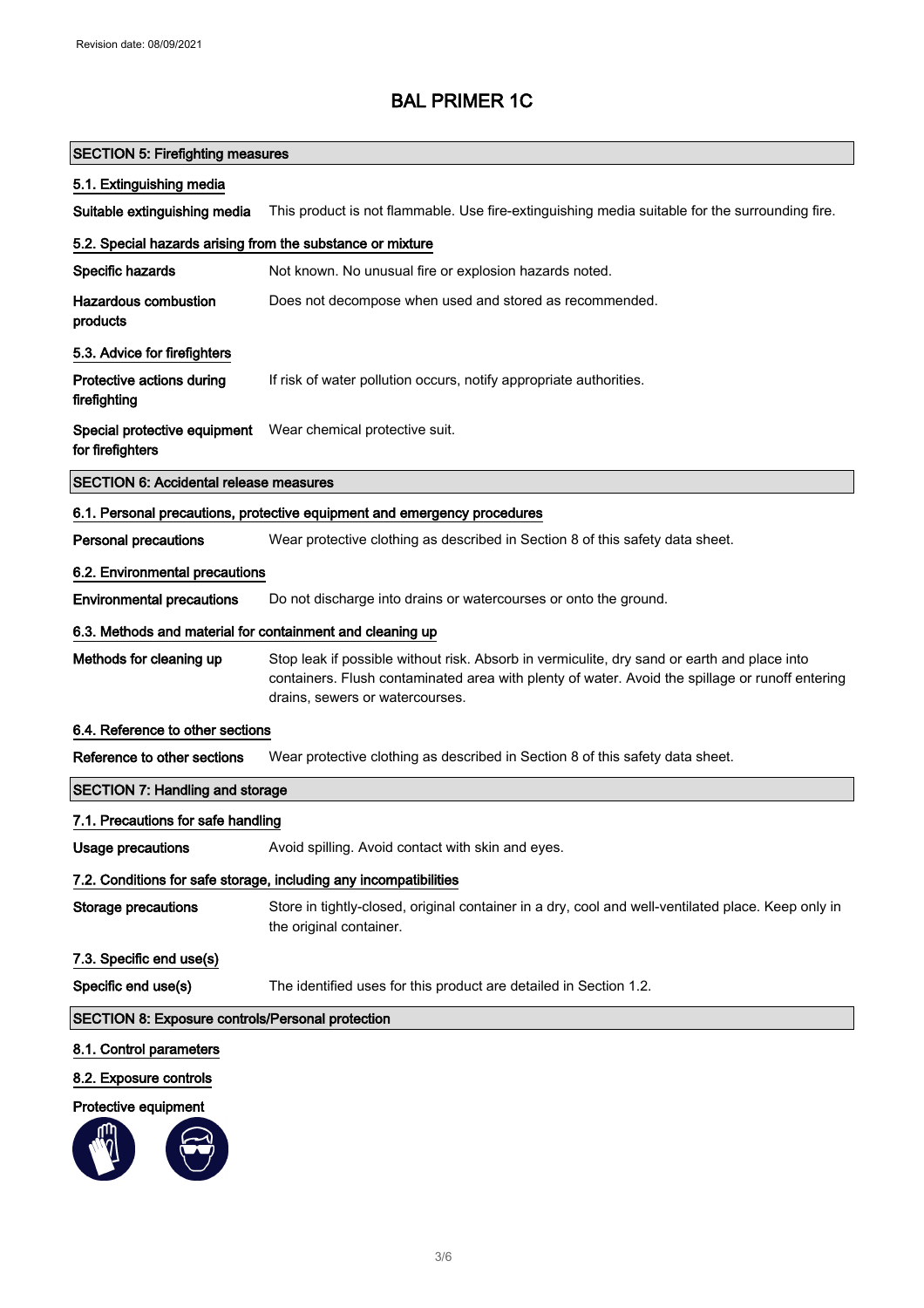## SECTION 5: Firefighting measures

### 5.1. Extinguishing media

Suitable extinguishing media This product is not flammable. Use fire-extinguishing media suitable for the surrounding fire.

| 5.2. Special hazards arising from the substance or mixture        |                                                                                                                                                                                                                                   |
|-------------------------------------------------------------------|-----------------------------------------------------------------------------------------------------------------------------------------------------------------------------------------------------------------------------------|
| Specific hazards                                                  | Not known. No unusual fire or explosion hazards noted.                                                                                                                                                                            |
| <b>Hazardous combustion</b><br>products                           | Does not decompose when used and stored as recommended.                                                                                                                                                                           |
| 5.3. Advice for firefighters                                      |                                                                                                                                                                                                                                   |
| Protective actions during<br>firefighting                         | If risk of water pollution occurs, notify appropriate authorities.                                                                                                                                                                |
| Special protective equipment<br>for firefighters                  | Wear chemical protective suit.                                                                                                                                                                                                    |
| <b>SECTION 6: Accidental release measures</b>                     |                                                                                                                                                                                                                                   |
|                                                                   | 6.1. Personal precautions, protective equipment and emergency procedures                                                                                                                                                          |
| <b>Personal precautions</b>                                       | Wear protective clothing as described in Section 8 of this safety data sheet.                                                                                                                                                     |
| 6.2. Environmental precautions                                    |                                                                                                                                                                                                                                   |
| <b>Environmental precautions</b>                                  | Do not discharge into drains or watercourses or onto the ground.                                                                                                                                                                  |
| 6.3. Methods and material for containment and cleaning up         |                                                                                                                                                                                                                                   |
| Methods for cleaning up                                           | Stop leak if possible without risk. Absorb in vermiculite, dry sand or earth and place into<br>containers. Flush contaminated area with plenty of water. Avoid the spillage or runoff entering<br>drains, sewers or watercourses. |
| 6.4. Reference to other sections                                  |                                                                                                                                                                                                                                   |
| Reference to other sections                                       | Wear protective clothing as described in Section 8 of this safety data sheet.                                                                                                                                                     |
| <b>SECTION 7: Handling and storage</b>                            |                                                                                                                                                                                                                                   |
| 7.1. Precautions for safe handling                                |                                                                                                                                                                                                                                   |
| <b>Usage precautions</b>                                          | Avoid spilling. Avoid contact with skin and eyes.                                                                                                                                                                                 |
| 7.2. Conditions for safe storage, including any incompatibilities |                                                                                                                                                                                                                                   |
| <b>Storage precautions</b>                                        | Store in tightly-closed, original container in a dry, cool and well-ventilated place. Keep only in<br>the original container.                                                                                                     |
| 7.3. Specific end use(s)                                          |                                                                                                                                                                                                                                   |
| Specific end use(s)                                               | The identified uses for this product are detailed in Section 1.2.                                                                                                                                                                 |
| <b>SECTION 8: Exposure controls/Personal protection</b>           |                                                                                                                                                                                                                                   |
| 8.1. Control parameters                                           |                                                                                                                                                                                                                                   |
| 8.2. Exposure controls                                            |                                                                                                                                                                                                                                   |

### Protective equipment

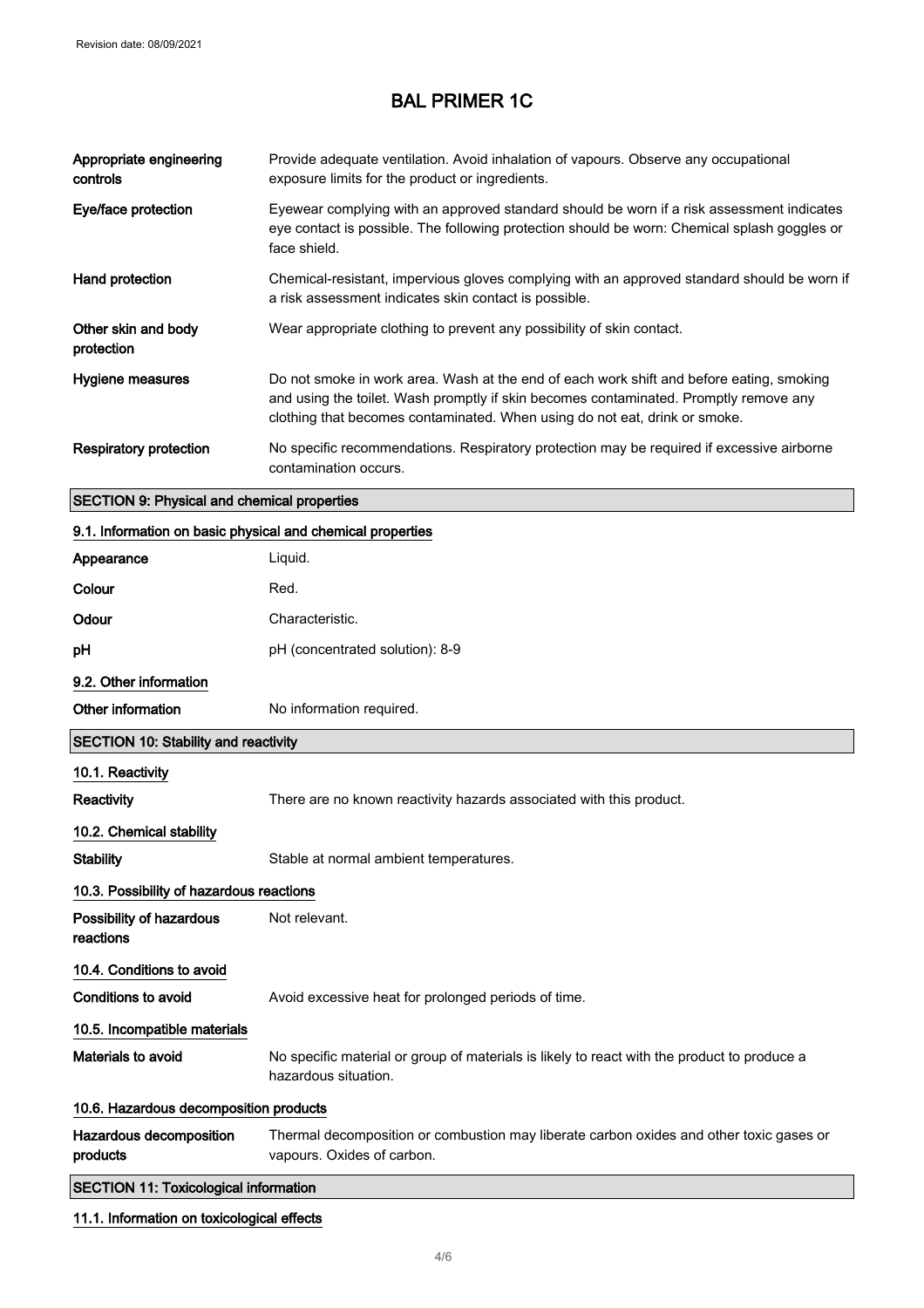| Appropriate engineering<br>controls | Provide adequate ventilation. Avoid inhalation of vapours. Observe any occupational<br>exposure limits for the product or ingredients.                                                                                                                          |
|-------------------------------------|-----------------------------------------------------------------------------------------------------------------------------------------------------------------------------------------------------------------------------------------------------------------|
| Eye/face protection                 | Eyewear complying with an approved standard should be worn if a risk assessment indicates<br>eye contact is possible. The following protection should be worn: Chemical splash goggles or<br>face shield.                                                       |
| Hand protection                     | Chemical-resistant, impervious gloves complying with an approved standard should be worn if<br>a risk assessment indicates skin contact is possible.                                                                                                            |
| Other skin and body<br>protection   | Wear appropriate clothing to prevent any possibility of skin contact.                                                                                                                                                                                           |
| Hygiene measures                    | Do not smoke in work area. Wash at the end of each work shift and before eating, smoking<br>and using the toilet. Wash promptly if skin becomes contaminated. Promptly remove any<br>clothing that becomes contaminated. When using do not eat, drink or smoke. |
| <b>Respiratory protection</b>       | No specific recommendations. Respiratory protection may be required if excessive airborne<br>contamination occurs.                                                                                                                                              |

## SECTION 9: Physical and chemical properties

| 9.1. Information on basic physical and chemical properties |                                                                                                                       |
|------------------------------------------------------------|-----------------------------------------------------------------------------------------------------------------------|
| Appearance                                                 | Liquid.                                                                                                               |
| Colour                                                     | Red.                                                                                                                  |
| Odour                                                      | Characteristic.                                                                                                       |
| рH                                                         | pH (concentrated solution): 8-9                                                                                       |
| 9.2. Other information                                     |                                                                                                                       |
| Other information                                          | No information required.                                                                                              |
| <b>SECTION 10: Stability and reactivity</b>                |                                                                                                                       |
| 10.1. Reactivity                                           |                                                                                                                       |
| <b>Reactivity</b>                                          | There are no known reactivity hazards associated with this product.                                                   |
| 10.2. Chemical stability                                   |                                                                                                                       |
| <b>Stability</b>                                           | Stable at normal ambient temperatures.                                                                                |
| 10.3. Possibility of hazardous reactions                   |                                                                                                                       |
| Possibility of hazardous<br>reactions                      | Not relevant.                                                                                                         |
| 10.4. Conditions to avoid                                  |                                                                                                                       |
| <b>Conditions to avoid</b>                                 | Avoid excessive heat for prolonged periods of time.                                                                   |
| 10.5. Incompatible materials                               |                                                                                                                       |
| Materials to avoid                                         | No specific material or group of materials is likely to react with the product to produce a<br>hazardous situation.   |
| 10.6. Hazardous decomposition products                     |                                                                                                                       |
| Hazardous decomposition<br>products                        | Thermal decomposition or combustion may liberate carbon oxides and other toxic gases or<br>vapours. Oxides of carbon. |

## SECTION 11: Toxicological information

## 11.1. Information on toxicological effects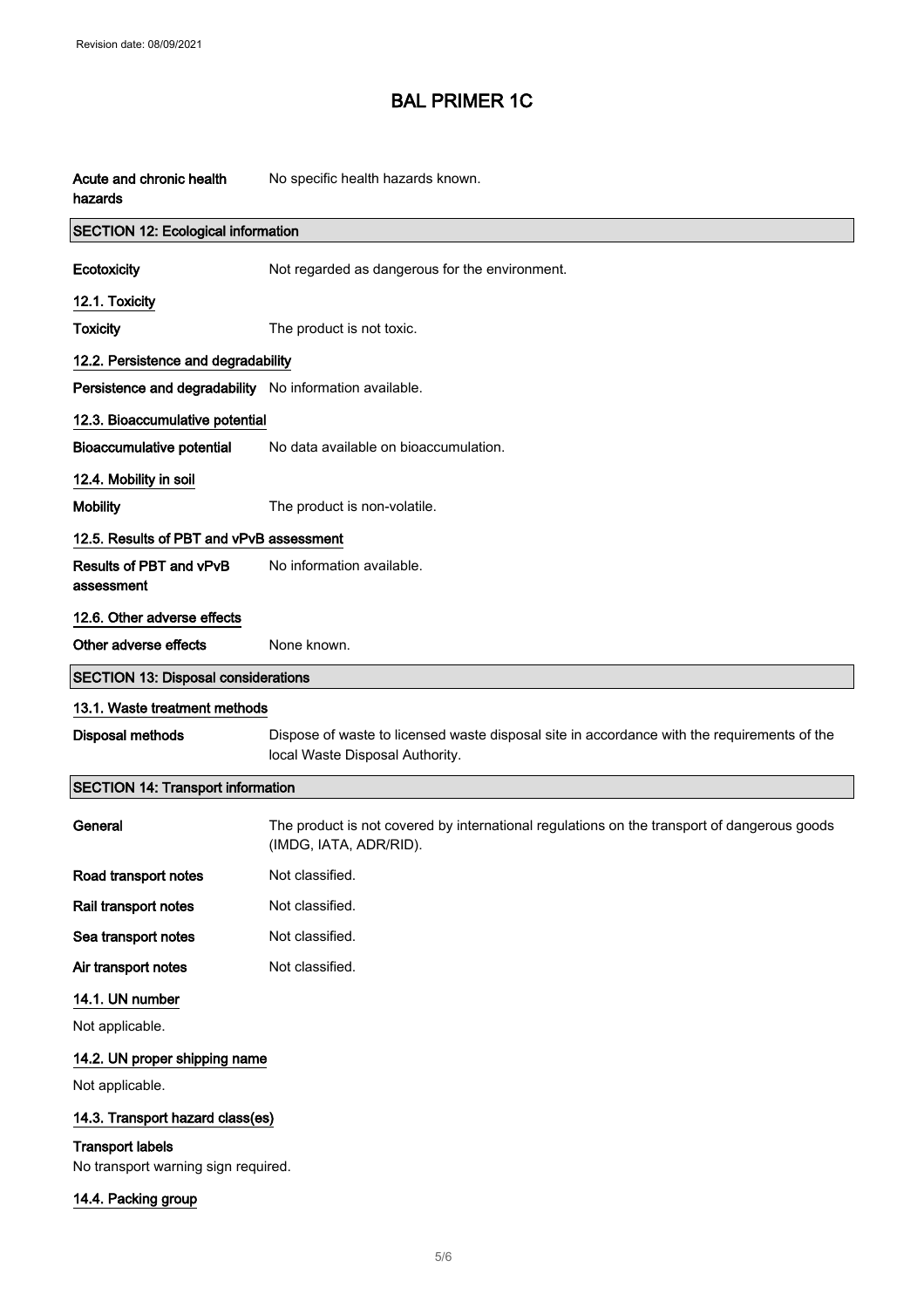| Acute and chronic health<br>hazards                            | No specific health hazards known.                                                                                              |
|----------------------------------------------------------------|--------------------------------------------------------------------------------------------------------------------------------|
| <b>SECTION 12: Ecological information</b>                      |                                                                                                                                |
| Ecotoxicity                                                    | Not regarded as dangerous for the environment.                                                                                 |
| 12.1. Toxicity                                                 |                                                                                                                                |
| <b>Toxicity</b>                                                | The product is not toxic.                                                                                                      |
| 12.2. Persistence and degradability                            |                                                                                                                                |
| Persistence and degradability No information available.        |                                                                                                                                |
| 12.3. Bioaccumulative potential                                |                                                                                                                                |
| <b>Bioaccumulative potential</b>                               | No data available on bioaccumulation.                                                                                          |
| 12.4. Mobility in soil                                         |                                                                                                                                |
| <b>Mobility</b>                                                | The product is non-volatile.                                                                                                   |
| 12.5. Results of PBT and vPvB assessment                       |                                                                                                                                |
| Results of PBT and vPvB<br>assessment                          | No information available.                                                                                                      |
| 12.6. Other adverse effects                                    |                                                                                                                                |
| Other adverse effects                                          | None known.                                                                                                                    |
| <b>SECTION 13: Disposal considerations</b>                     |                                                                                                                                |
| 13.1. Waste treatment methods                                  |                                                                                                                                |
| <b>Disposal methods</b>                                        | Dispose of waste to licensed waste disposal site in accordance with the requirements of the<br>local Waste Disposal Authority. |
| <b>SECTION 14: Transport information</b>                       |                                                                                                                                |
| General                                                        | The product is not covered by international regulations on the transport of dangerous goods<br>(IMDG, IATA, ADR/RID).          |
| Road transport notes                                           | Not classified.                                                                                                                |
| Rail transport notes                                           | Not classified.                                                                                                                |
| Sea transport notes                                            | Not classified.                                                                                                                |
| Air transport notes                                            | Not classified.                                                                                                                |
| 14.1. UN number                                                |                                                                                                                                |
| Not applicable.                                                |                                                                                                                                |
| 14.2. UN proper shipping name                                  |                                                                                                                                |
| Not applicable.                                                |                                                                                                                                |
| 14.3. Transport hazard class(es)                               |                                                                                                                                |
| <b>Transport labels</b><br>No transport warning sign required. |                                                                                                                                |
| 14.4. Packing group                                            |                                                                                                                                |